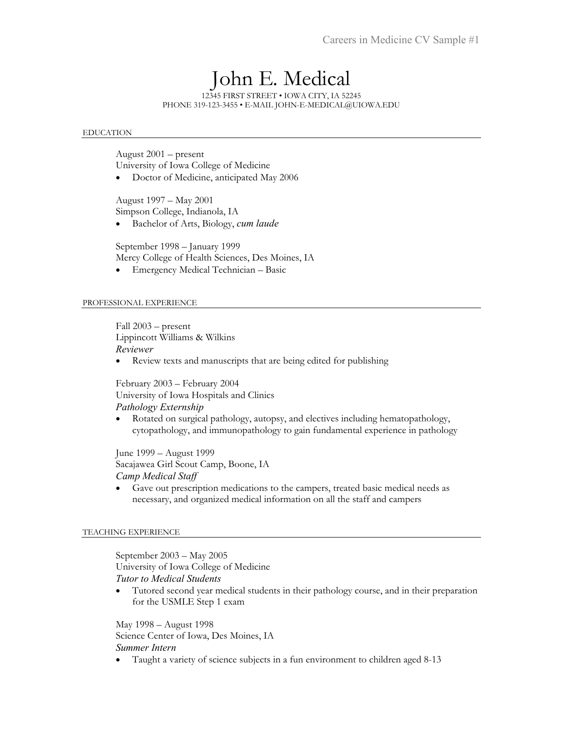# John E. Medical

12345 FIRST STREET • IOWA CITY, IA 52245 PHONE 319-123-3455 • E-MAIL JOHN-E-MEDICAL@UIOWA.EDU

#### EDUCATION

August 2001 – present University of Iowa College of Medicine

• Doctor of Medicine, anticipated May 2006

August 1997 – May 2001 Simpson College, Indianola, IA

• Bachelor of Arts, Biology, *cum laude* 

September 1998 – January 1999 Mercy College of Health Sciences, Des Moines, IA

• Emergency Medical Technician – Basic

### PROFESSIONAL EXPERIENCE

Fall 2003 – present Lippincott Williams & Wilkins *Reviewer* 

• Review texts and manuscripts that are being edited for publishing

February 2003 – February 2004 University of Iowa Hospitals and Clinics *Pathology Externship* 

• Rotated on surgical pathology, autopsy, and electives including hematopathology, cytopathology, and immunopathology to gain fundamental experience in pathology

June 1999 – August 1999 Sacajawea Girl Scout Camp, Boone, IA *Camp Medical Staff* 

• Gave out prescription medications to the campers, treated basic medical needs as necessary, and organized medical information on all the staff and campers

## TEACHING EXPERIENCE

September 2003 – May 2005 University of Iowa College of Medicine *Tutor to Medical Students* 

• Tutored second year medical students in their pathology course, and in their preparation for the USMLE Step 1 exam

May 1998 – August 1998 Science Center of Iowa, Des Moines, IA *Summer Intern* 

• Taught a variety of science subjects in a fun environment to children aged 8-13